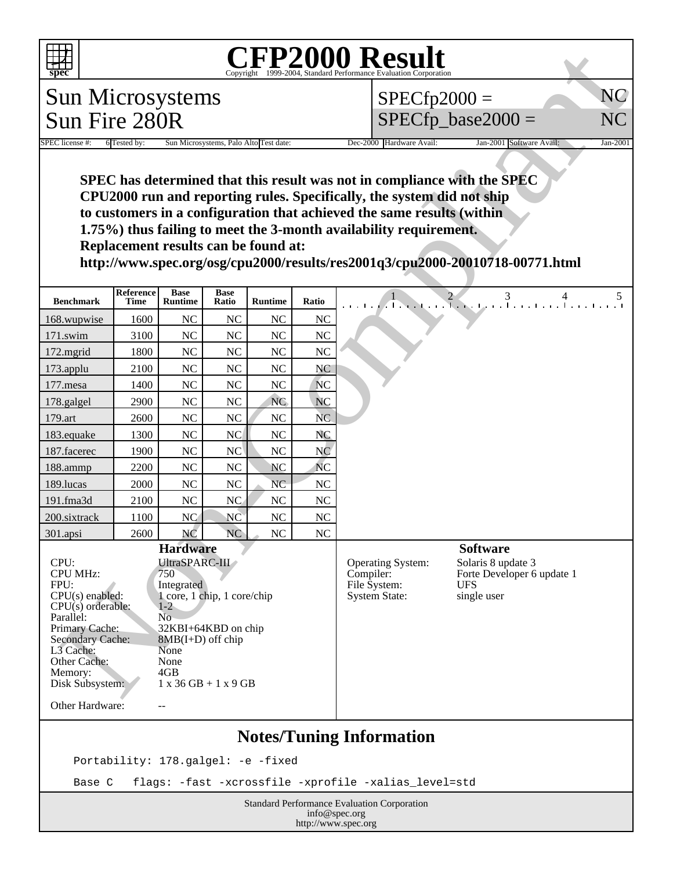

## Copyright ©1999-2004, Standard Performance Evaluation Corporation

| <b>CFP2000 Result</b><br>$sp\overline{ec}$                                                                                                                                                                                                                                                                                                                                                                                                                                                                                                                                  |                          |                               |                      |                |                                                                                                                                                                            |                                                                       |
|-----------------------------------------------------------------------------------------------------------------------------------------------------------------------------------------------------------------------------------------------------------------------------------------------------------------------------------------------------------------------------------------------------------------------------------------------------------------------------------------------------------------------------------------------------------------------------|--------------------------|-------------------------------|----------------------|----------------|----------------------------------------------------------------------------------------------------------------------------------------------------------------------------|-----------------------------------------------------------------------|
| <b>Sun Microsystems</b><br>$SPECfp2000 =$<br>$SPECfp\_base2000 =$<br>Sun Fire 280R                                                                                                                                                                                                                                                                                                                                                                                                                                                                                          |                          |                               |                      |                |                                                                                                                                                                            |                                                                       |
|                                                                                                                                                                                                                                                                                                                                                                                                                                                                                                                                                                             |                          |                               |                      |                | NC<br>NC                                                                                                                                                                   |                                                                       |
|                                                                                                                                                                                                                                                                                                                                                                                                                                                                                                                                                                             |                          |                               |                      |                |                                                                                                                                                                            |                                                                       |
| Dec-2000 Hardware Avail:<br>SPEC license #:<br>6 Tested by:<br>Jan-2001<br>Sun Microsystems, Palo Alto Test date:<br>Jan-2001 Software Avail:<br>SPEC has determined that this result was not in compliance with the SPEC<br>CPU2000 run and reporting rules. Specifically, the system did not ship<br>to customers in a configuration that achieved the same results (within<br>1.75%) thus failing to meet the 3-month availability requirement.<br>Replacement results can be found at:<br>http://www.spec.org/osg/cpu2000/results/res2001q3/cpu2000-20010718-00771.html |                          |                               |                      |                |                                                                                                                                                                            |                                                                       |
| <b>Benchmark</b>                                                                                                                                                                                                                                                                                                                                                                                                                                                                                                                                                            | Reference<br><b>Time</b> | <b>Base</b><br><b>Runtime</b> | <b>Base</b><br>Ratio | <b>Runtime</b> | Ratio                                                                                                                                                                      | $\frac{1}{1}$ $\frac{2}{1}$ $\frac{3}{1}$ $\frac{4}{1}$ $\frac{5}{1}$ |
| 168.wupwise                                                                                                                                                                                                                                                                                                                                                                                                                                                                                                                                                                 | 1600                     | NC                            | NC                   | NC             | <b>NC</b>                                                                                                                                                                  |                                                                       |
| 171.swim                                                                                                                                                                                                                                                                                                                                                                                                                                                                                                                                                                    | 3100                     | NC                            | <b>NC</b>            | <b>NC</b>      | <b>NC</b>                                                                                                                                                                  |                                                                       |
| 172.mgrid                                                                                                                                                                                                                                                                                                                                                                                                                                                                                                                                                                   | 1800                     | NC                            | NC                   | NC             | <b>NC</b>                                                                                                                                                                  |                                                                       |
| 173.applu                                                                                                                                                                                                                                                                                                                                                                                                                                                                                                                                                                   | 2100                     | NC                            | N <sub>C</sub>       | NC             | <b>NC</b>                                                                                                                                                                  |                                                                       |
| 177.mesa                                                                                                                                                                                                                                                                                                                                                                                                                                                                                                                                                                    | 1400                     | NC                            | NC                   | NC             | <b>NC</b>                                                                                                                                                                  |                                                                       |
| 178.galgel                                                                                                                                                                                                                                                                                                                                                                                                                                                                                                                                                                  | 2900                     | NC                            | NC                   | <b>NC</b>      | <b>NC</b>                                                                                                                                                                  |                                                                       |
| 179.art                                                                                                                                                                                                                                                                                                                                                                                                                                                                                                                                                                     | 2600                     | NC                            | <b>NC</b>            | NC             | <b>NC</b>                                                                                                                                                                  |                                                                       |
| 183.equake                                                                                                                                                                                                                                                                                                                                                                                                                                                                                                                                                                  | 1300                     | <b>NC</b>                     | <b>NC</b>            | NC             | NC                                                                                                                                                                         |                                                                       |
| 187.facerec                                                                                                                                                                                                                                                                                                                                                                                                                                                                                                                                                                 | 1900                     | NC                            | NC                   | NC             | N <sub>C</sub>                                                                                                                                                             |                                                                       |
| 188.ammp                                                                                                                                                                                                                                                                                                                                                                                                                                                                                                                                                                    | 2200                     | NC                            | NC                   | NC             | <b>NC</b>                                                                                                                                                                  |                                                                       |
| 189.lucas                                                                                                                                                                                                                                                                                                                                                                                                                                                                                                                                                                   | 2000                     | NC                            | <b>NC</b>            | <b>NC</b>      | NC                                                                                                                                                                         |                                                                       |
| 191.fma3d                                                                                                                                                                                                                                                                                                                                                                                                                                                                                                                                                                   | 2100                     | NC                            | NC                   | NC             | <b>NC</b>                                                                                                                                                                  |                                                                       |
| 200.sixtrack                                                                                                                                                                                                                                                                                                                                                                                                                                                                                                                                                                | 1100                     | NC                            | NC                   | NC             | N <sub>C</sub>                                                                                                                                                             |                                                                       |
| 301.apsi                                                                                                                                                                                                                                                                                                                                                                                                                                                                                                                                                                    | 2600                     | NC                            | <b>NC</b>            | NC             | NC                                                                                                                                                                         |                                                                       |
| <b>Hardware</b><br>UltraSPARC-III<br>CPU:<br><b>CPU MHz:</b><br>750<br>FPU:<br>Integrated<br>1 core, 1 chip, 1 core/chip<br>$CPU(s)$ enabled:<br>$CPU(s)$ orderable:<br>$1-2$<br>N <sub>o</sub><br>Parallel:<br>Primary Cache:<br>32KBI+64KBD on chip<br><b>Secondary Cache:</b><br>$8MB(I+D)$ off chip<br>L3 Cache:<br>None<br>Other Cache:<br>None<br>4GB<br>Memory:<br>Disk Subsystem:<br>$1 x 36 GB + 1 x 9 GB$<br>Other Hardware:<br>$-$                                                                                                                               |                          |                               |                      |                | <b>Software</b><br>Solaris 8 update 3<br>Operating System:<br>Compiler:<br>Forte Developer 6 update 1<br>File System:<br><b>UFS</b><br><b>System State:</b><br>single user |                                                                       |
| <b>Notes/Tuning Information</b><br>Portability: 178.galgel: -e -fixed                                                                                                                                                                                                                                                                                                                                                                                                                                                                                                       |                          |                               |                      |                |                                                                                                                                                                            |                                                                       |

## Base C flags: -fast -xcrossfile -xprofile -xalias\_level=std

Standard Performance Evaluation Corporation info@spec.org http://www.spec.org